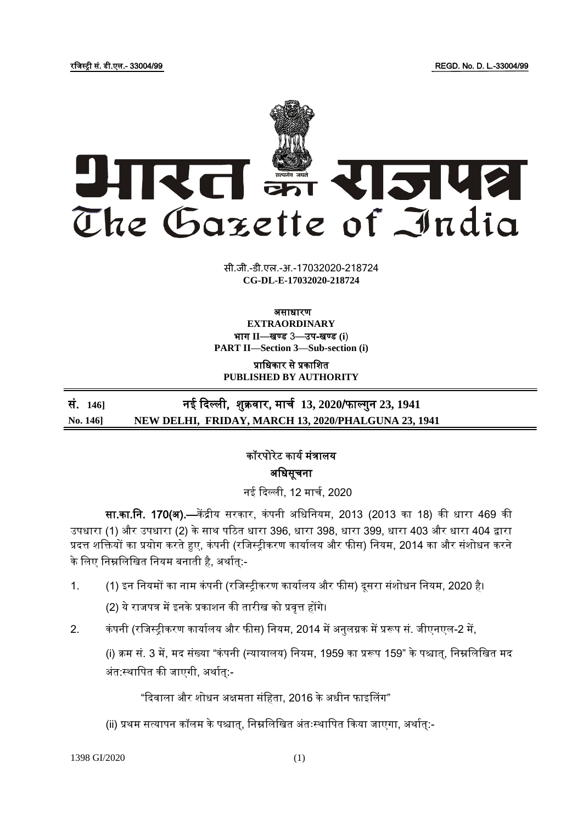

सी.जी.-डी.एल.-अ.-17032020-218724 **xxxGIDExxx CG-DL-E-17032020-218724**

#### असाधारण **EXTRAORDINARY**

भाग **II**—खण् ड 3—उप-खण् ड **(i**) **PART II—Section 3—Sub-section (i)**

प्राजधकार से प्रकाजित **PUBLISHED BY AUTHORITY**

## सं. **146]** नई दिल्ली, िुक्रवार, माचय **13, 2020**/फाल् गुन **23, 1941 No. 146] NEW DELHI, FRIDAY, MARCH 13, 2020/PHALGUNA 23, 1941**

# कॉरपोरेट कार्य मंत्रालर् अजधसूचना

नई दिल्ली, 12 मार्च, 2020

सा.का.नि. 170(अ).—केंद्रीय सरकार, कंपनी अधिनियम, 2013 (2013 का 18) की धारा 469 की उपधारा (1) और उपधारा (2) के साथ पठित धारा 396, धारा 398, धारा 399, धारा 403 और धारा 404 द्वारा प्रदत्त शक्तियों का प्रयोग करते हुए, कंपनी (रजिस्ट्रीकरण कार्यालय और फीस) नियम, 2014 का और संशोधन करने के लिए निम्नलिखित नियम बनाती है, अर्थात्:-

1. (1) इन नियमों का नाम कंपनी (रजिस्ट्रीकरण कार्यालय और फीस) दूसरा संशोधन नियम, 2020 है।

(2) ये राजपत्र में इनके प्रकाशन की तारीख को प्रवृत्त होंगे।

2. कंपनी (रजिस्ट्रीकरण कार्यालय और फीस) नियम, 2014 में अनुलग्नक में प्ररूप सं. जीएनएल-2 में,

(i) क्रम सं. 3 में, मद संख्या "कंपनी (न्यायालय) नियम, 1959 का प्ररूप 159" के पश्चात्, निम्नलिखित मद अंत:स्थापित की जाएगी, अर्थात:-

"दिवाला और शोधन अक्षमता संहिता, 2016 के अधीन फाइलिंग"

(ii) प्रथम सत्र्ापन कॉलम के पश्चात्, जनम्नजलजखत अंतःस्ट्थाजपत दकर्ा िाएगा, अथायत्:-

1398 GI/2020 (1)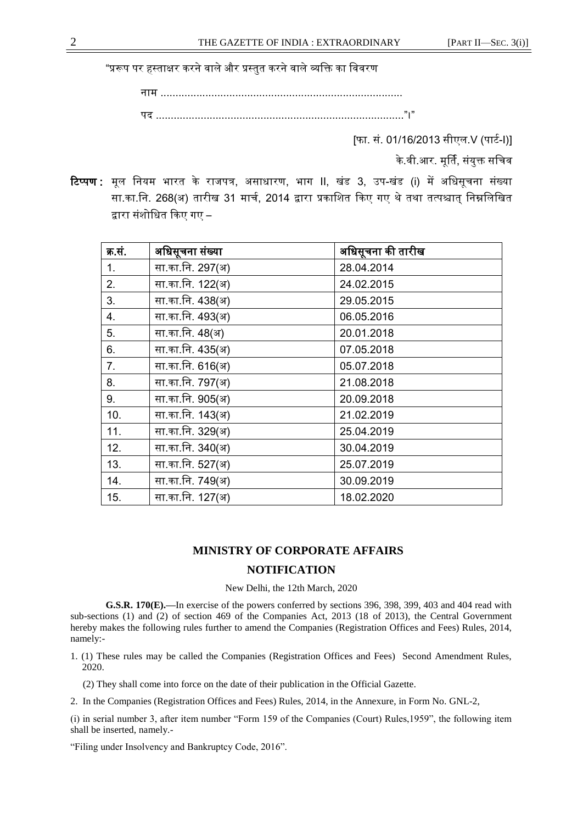"प्ररूप पर हस्ताक्षर करने वाले और प्रस्तुत करने वाले व्यक्ति का विवरण

नाम ................................................................................. पि ..................................................................................."।"

[फा. सं. 01/16/2013 सीएल.V (पार्ट-I)]

के.वी.आर. मूर्ति, संयुक्त सचिव

टिप्पण : मूल नियम भारत के राजपत्र, असाधारण, भाग II, खंड 3, उप-खंड (i) में अधिसूचना संख्या सा.का.नि. 268(अ) तारीख 31 मार्च, 2014 द्वारा प्रकाशित किए गए थे तथा तत्पश्चात् निम्नलिखित द्वारा संशोधित किए गए –

| क्र.सं. | अधिसूचना संख्या  | अधिसूचना की तारीख |
|---------|------------------|-------------------|
| 1.      | सा.का.नि. 297(अ) | 28.04.2014        |
| 2.      | सा.का.नि. 122(अ) | 24.02.2015        |
| 3.      | सा.का.नि. 438(अ) | 29.05.2015        |
| 4.      | सा.का.नि. 493(अ) | 06.05.2016        |
| 5.      | सा.का.नि. 48(अ)  | 20.01.2018        |
| 6.      | सा.का.नि. 435(अ) | 07.05.2018        |
| 7.      | सा.का.नि. 616(अ) | 05.07.2018        |
| 8.      | सा.का.नि. 797(अ) | 21.08.2018        |
| 9.      | सा.का.नि. 905(अ) | 20.09.2018        |
| 10.     | सा.का.नि. 143(अ) | 21.02.2019        |
| 11.     | सा.का.नि. 329(अ) | 25.04.2019        |
| 12.     | सा.का.नि. 340(अ) | 30.04.2019        |
| 13.     | सा.का.नि. 527(अ) | 25.07.2019        |
| 14.     | सा.का.नि. 749(अ) | 30.09.2019        |
| 15.     | सा.का.नि. 127(अ) | 18.02.2020        |

### **MINISTRY OF CORPORATE AFFAIRS**

### **NOTIFICATION**

New Delhi, the 12th March, 2020

**G.S.R. 170(E).—**In exercise of the powers conferred by sections 396, 398, 399, 403 and 404 read with sub-sections (1) and (2) of section 469 of the Companies Act, 2013 (18 of 2013), the Central Government hereby makes the following rules further to amend the Companies (Registration Offices and Fees) Rules, 2014, namely:-

1. (1) These rules may be called the Companies (Registration Offices and Fees) Second Amendment Rules, 2020.

(2) They shall come into force on the date of their publication in the Official Gazette.

2. In the Companies (Registration Offices and Fees) Rules, 2014, in the Annexure, in Form No. GNL-2,

(i) in serial number 3, after item number "Form 159 of the Companies (Court) Rules,1959", the following item shall be inserted, namely.-

"Filing under Insolvency and Bankruptcy Code, 2016".